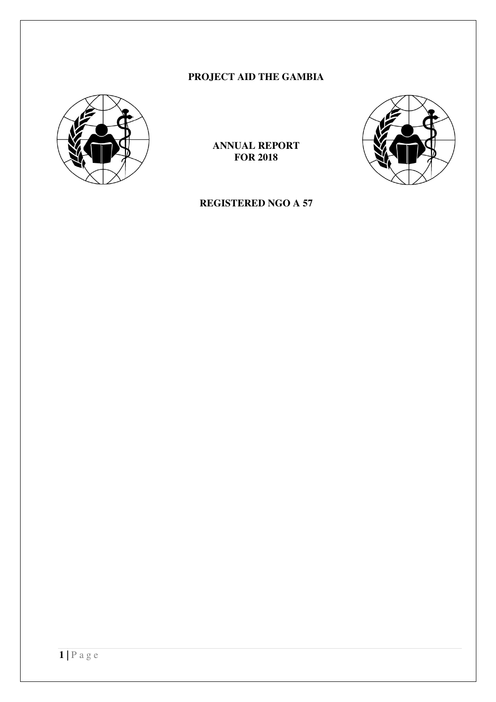# **PROJECT AID THE GAMBIA**



**ANNUAL REPORT FOR 2018** 



**REGISTERED NGO A 57**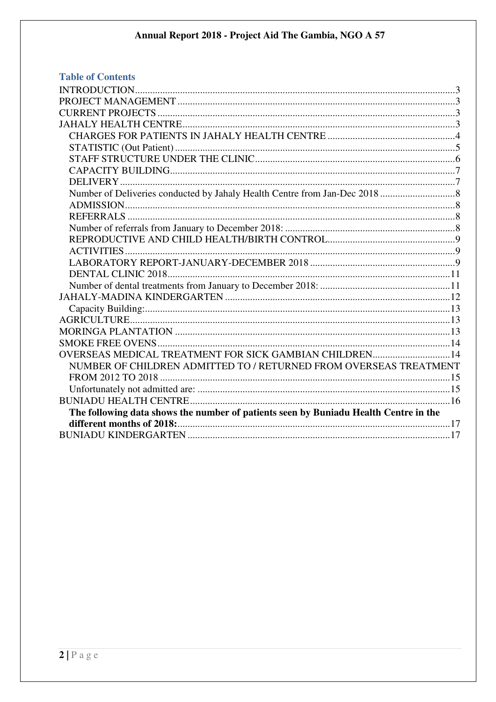| <b>Table of Contents</b>                                                             |  |
|--------------------------------------------------------------------------------------|--|
|                                                                                      |  |
|                                                                                      |  |
|                                                                                      |  |
|                                                                                      |  |
|                                                                                      |  |
|                                                                                      |  |
|                                                                                      |  |
|                                                                                      |  |
|                                                                                      |  |
|                                                                                      |  |
|                                                                                      |  |
|                                                                                      |  |
|                                                                                      |  |
|                                                                                      |  |
|                                                                                      |  |
|                                                                                      |  |
|                                                                                      |  |
|                                                                                      |  |
|                                                                                      |  |
|                                                                                      |  |
|                                                                                      |  |
|                                                                                      |  |
|                                                                                      |  |
| OVERSEAS MEDICAL TREATMENT FOR SICK GAMBIAN CHILDREN14                               |  |
| NUMBER OF CHILDREN ADMITTED TO / RETURNED FROM OVERSEAS TREATMENT                    |  |
|                                                                                      |  |
|                                                                                      |  |
|                                                                                      |  |
| The following data shows the number of patients seen by Buniadu Health Centre in the |  |
|                                                                                      |  |
|                                                                                      |  |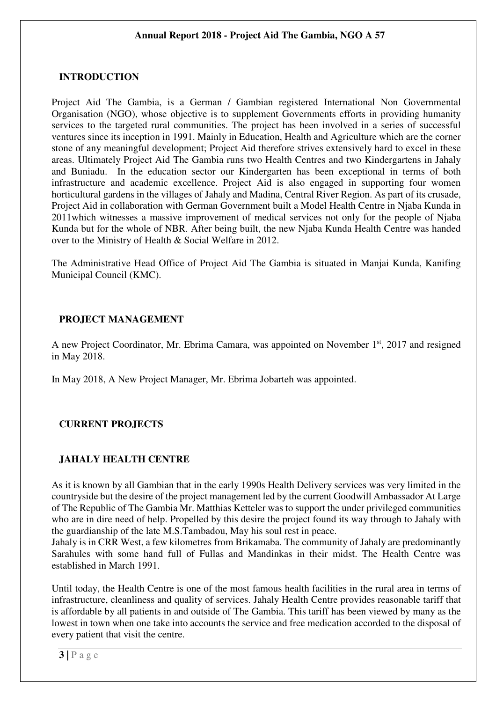### **INTRODUCTION**

Project Aid The Gambia, is a German / Gambian registered International Non Governmental Organisation (NGO), whose objective is to supplement Governments efforts in providing humanity services to the targeted rural communities. The project has been involved in a series of successful ventures since its inception in 1991. Mainly in Education, Health and Agriculture which are the corner stone of any meaningful development; Project Aid therefore strives extensively hard to excel in these areas. Ultimately Project Aid The Gambia runs two Health Centres and two Kindergartens in Jahaly and Buniadu. In the education sector our Kindergarten has been exceptional in terms of both infrastructure and academic excellence. Project Aid is also engaged in supporting four women horticultural gardens in the villages of Jahaly and Madina, Central River Region. As part of its crusade, Project Aid in collaboration with German Government built a Model Health Centre in Njaba Kunda in 2011which witnesses a massive improvement of medical services not only for the people of Njaba Kunda but for the whole of NBR. After being built, the new Njaba Kunda Health Centre was handed over to the Ministry of Health & Social Welfare in 2012.

The Administrative Head Office of Project Aid The Gambia is situated in Manjai Kunda, Kanifing Municipal Council (KMC).

### **PROJECT MANAGEMENT**

A new Project Coordinator, Mr. Ebrima Camara, was appointed on November 1<sup>st</sup>, 2017 and resigned in May 2018.

In May 2018, A New Project Manager, Mr. Ebrima Jobarteh was appointed.

# **CURRENT PROJECTS**

### **JAHALY HEALTH CENTRE**

As it is known by all Gambian that in the early 1990s Health Delivery services was very limited in the countryside but the desire of the project management led by the current Goodwill Ambassador At Large of The Republic of The Gambia Mr. Matthias Ketteler was to support the under privileged communities who are in dire need of help. Propelled by this desire the project found its way through to Jahaly with the guardianship of the late M.S.Tambadou, May his soul rest in peace.

Jahaly is in CRR West, a few kilometres from Brikamaba. The community of Jahaly are predominantly Sarahules with some hand full of Fullas and Mandinkas in their midst. The Health Centre was established in March 1991.

Until today, the Health Centre is one of the most famous health facilities in the rural area in terms of infrastructure, cleanliness and quality of services. Jahaly Health Centre provides reasonable tariff that is affordable by all patients in and outside of The Gambia. This tariff has been viewed by many as the lowest in town when one take into accounts the service and free medication accorded to the disposal of every patient that visit the centre.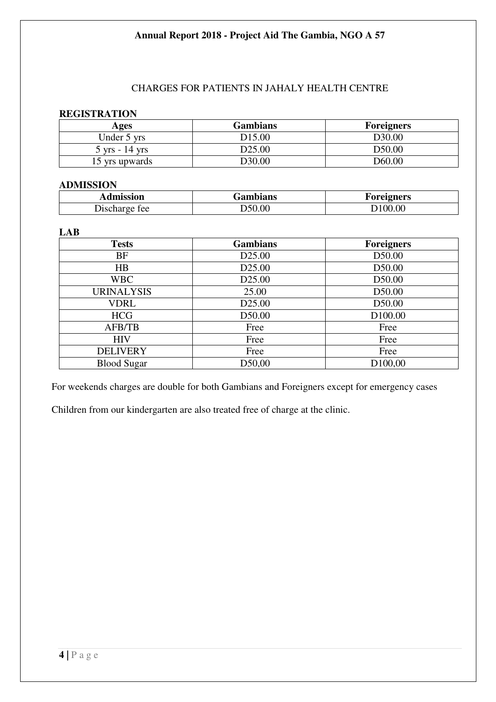# CHARGES FOR PATIENTS IN JAHALY HEALTH CENTRE

#### **REGISTRATION**

| Ages                             | <b>Gambians</b>    | <b>Foreigners</b>  |
|----------------------------------|--------------------|--------------------|
| Under 5 yrs                      | D <sub>15.00</sub> | D <sub>30.00</sub> |
| $5 \text{ yrs} - 14 \text{ yrs}$ | D25.00             | D50.00             |
| 15 yrs upwards                   | D30.00             | D <sub>60.00</sub> |

#### **ADMISSION**

| lmission                | <b>Gambians</b> | <b>oreigners</b> |
|-------------------------|-----------------|------------------|
| tee<br>Dischar<br>΄ (ΤΡ | 50.00           | 100.00           |

#### **LAB**

| <b>Tests</b>       | <b>Gambians</b>    | <b>Foreigners</b>   |
|--------------------|--------------------|---------------------|
| <b>BF</b>          | D <sub>25.00</sub> | D50.00              |
| HB                 | D <sub>25.00</sub> | D50.00              |
| <b>WBC</b>         | D <sub>25.00</sub> | D50.00              |
| <b>URINALYSIS</b>  | 25.00              | D50.00              |
| <b>VDRL</b>        | D <sub>25.00</sub> | D50.00              |
| <b>HCG</b>         | D50.00             | D <sub>100.00</sub> |
| <b>AFB/TB</b>      | Free               | Free                |
| <b>HIV</b>         | Free               | Free                |
| <b>DELIVERY</b>    | Free               | Free                |
| <b>Blood Sugar</b> | D50,00             | D <sub>100,00</sub> |

For weekends charges are double for both Gambians and Foreigners except for emergency cases

Children from our kindergarten are also treated free of charge at the clinic.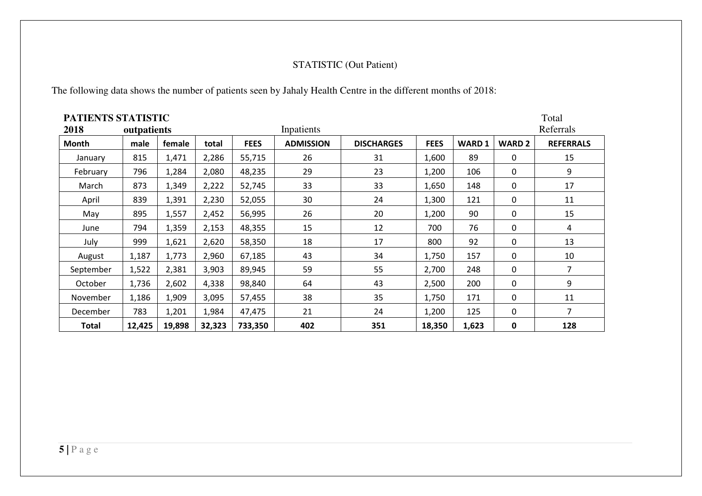## STATISTIC (Out Patient)

The following data shows the number of patients seen by Jahaly Health Centre in the different months of 2018:

| PATIENTS STATISTIC<br>Total |             |        |        |             |                  |                   |             |              |               |                  |  |  |
|-----------------------------|-------------|--------|--------|-------------|------------------|-------------------|-------------|--------------|---------------|------------------|--|--|
| 2018                        | outpatients |        |        |             | Inpatients       |                   |             |              |               | Referrals        |  |  |
| <b>Month</b>                | male        | female | total  | <b>FEES</b> | <b>ADMISSION</b> | <b>DISCHARGES</b> | <b>FEES</b> | <b>WARD1</b> | <b>WARD 2</b> | <b>REFERRALS</b> |  |  |
| January                     | 815         | 1,471  | 2,286  | 55,715      | 26               | 31                | 1,600       | 89           | 0             | 15               |  |  |
| February                    | 796         | 1,284  | 2,080  | 48,235      | 29               | 23                | 1,200       | 106          | 0             | 9                |  |  |
| March                       | 873         | 1,349  | 2,222  | 52,745      | 33               | 33                | 1,650       | 148          | 0             | 17               |  |  |
| April                       | 839         | 1,391  | 2,230  | 52,055      | 30               | 24                | 1,300       | 121          | 0             | 11               |  |  |
| May                         | 895         | 1,557  | 2,452  | 56,995      | 26               | 20                | 1,200       | 90           | 0             | 15               |  |  |
| June                        | 794         | 1,359  | 2,153  | 48,355      | 15               | 12                | 700         | 76           | 0             | $\overline{4}$   |  |  |
| July                        | 999         | 1,621  | 2,620  | 58,350      | 18               | 17                | 800         | 92           | 0             | 13               |  |  |
| August                      | 1,187       | 1,773  | 2,960  | 67,185      | 43               | 34                | 1,750       | 157          | 0             | 10               |  |  |
| September                   | 1,522       | 2,381  | 3,903  | 89,945      | 59               | 55                | 2,700       | 248          | 0             | $\overline{7}$   |  |  |
| October                     | 1,736       | 2,602  | 4,338  | 98,840      | 64               | 43                | 2,500       | 200          | $\mathbf 0$   | 9                |  |  |
| November                    | 1,186       | 1,909  | 3,095  | 57,455      | 38               | 35                | 1,750       | 171          | 0             | 11               |  |  |
| December                    | 783         | 1,201  | 1,984  | 47,475      | 21               | 24                | 1,200       | 125          | 0             | $\overline{7}$   |  |  |
| <b>Total</b>                | 12,425      | 19,898 | 32,323 | 733,350     | 402              | 351               | 18,350      | 1,623        | 0             | 128              |  |  |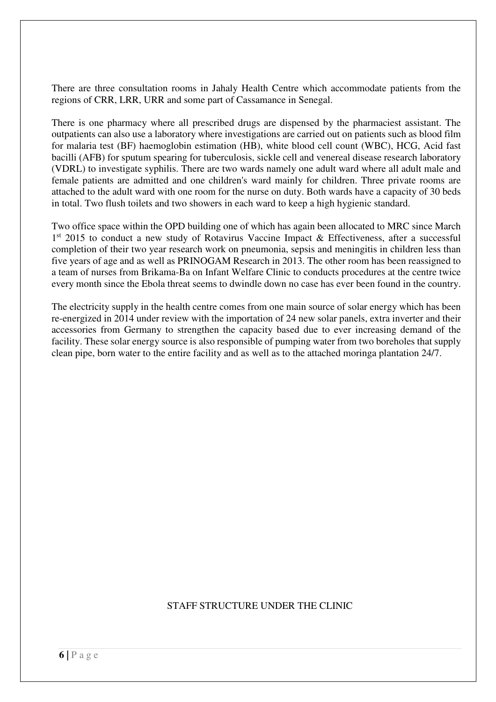There are three consultation rooms in Jahaly Health Centre which accommodate patients from the regions of CRR, LRR, URR and some part of Cassamance in Senegal.

There is one pharmacy where all prescribed drugs are dispensed by the pharmaciest assistant. The outpatients can also use a laboratory where investigations are carried out on patients such as blood film for malaria test (BF) haemoglobin estimation (HB), white blood cell count (WBC), HCG, Acid fast bacilli (AFB) for sputum spearing for tuberculosis, sickle cell and venereal disease research laboratory (VDRL) to investigate syphilis. There are two wards namely one adult ward where all adult male and female patients are admitted and one children's ward mainly for children. Three private rooms are attached to the adult ward with one room for the nurse on duty. Both wards have a capacity of 30 beds in total. Two flush toilets and two showers in each ward to keep a high hygienic standard.

Two office space within the OPD building one of which has again been allocated to MRC since March 1<sup>st</sup> 2015 to conduct a new study of Rotavirus Vaccine Impact & Effectiveness, after a successful completion of their two year research work on pneumonia, sepsis and meningitis in children less than five years of age and as well as PRINOGAM Research in 2013. The other room has been reassigned to a team of nurses from Brikama-Ba on Infant Welfare Clinic to conducts procedures at the centre twice every month since the Ebola threat seems to dwindle down no case has ever been found in the country.

The electricity supply in the health centre comes from one main source of solar energy which has been re-energized in 2014 under review with the importation of 24 new solar panels, extra inverter and their accessories from Germany to strengthen the capacity based due to ever increasing demand of the facility. These solar energy source is also responsible of pumping water from two boreholes that supply clean pipe, born water to the entire facility and as well as to the attached moringa plantation 24/7.

### STAFF STRUCTURE UNDER THE CLINIC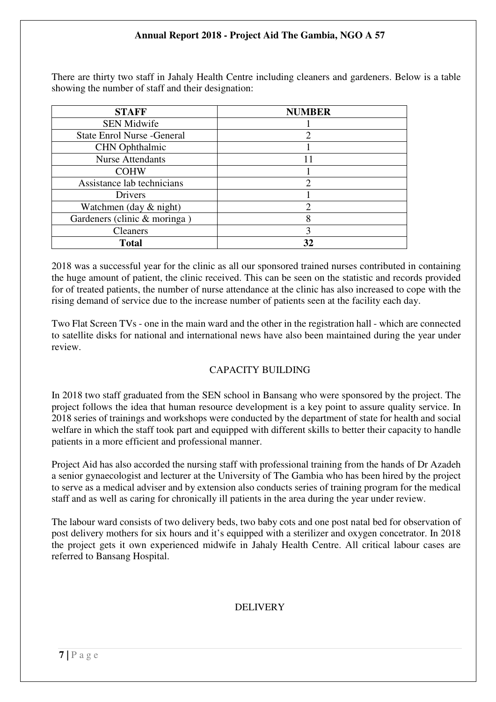There are thirty two staff in Jahaly Health Centre including cleaners and gardeners. Below is a table showing the number of staff and their designation:

| <b>STAFF</b>                       | <b>NUMBER</b> |
|------------------------------------|---------------|
| <b>SEN Midwife</b>                 |               |
| <b>State Enrol Nurse - General</b> |               |
| <b>CHN</b> Ophthalmic              |               |
| <b>Nurse Attendants</b>            | 11            |
| <b>COHW</b>                        |               |
| Assistance lab technicians         |               |
| Drivers                            |               |
| Watchmen (day & night)             | റ             |
| Gardeners (clinic & moringa)       | 8             |
| <b>Cleaners</b>                    | 3             |
| <b>Total</b>                       | 32            |

2018 was a successful year for the clinic as all our sponsored trained nurses contributed in containing the huge amount of patient, the clinic received. This can be seen on the statistic and records provided for of treated patients, the number of nurse attendance at the clinic has also increased to cope with the rising demand of service due to the increase number of patients seen at the facility each day.

Two Flat Screen TVs - one in the main ward and the other in the registration hall - which are connected to satellite disks for national and international news have also been maintained during the year under review.

### CAPACITY BUILDING

In 2018 two staff graduated from the SEN school in Bansang who were sponsored by the project. The project follows the idea that human resource development is a key point to assure quality service. In 2018 series of trainings and workshops were conducted by the department of state for health and social welfare in which the staff took part and equipped with different skills to better their capacity to handle patients in a more efficient and professional manner.

Project Aid has also accorded the nursing staff with professional training from the hands of Dr Azadeh a senior gynaecologist and lecturer at the University of The Gambia who has been hired by the project to serve as a medical adviser and by extension also conducts series of training program for the medical staff and as well as caring for chronically ill patients in the area during the year under review.

The labour ward consists of two delivery beds, two baby cots and one post natal bed for observation of post delivery mothers for six hours and it's equipped with a sterilizer and oxygen concetrator. In 2018 the project gets it own experienced midwife in Jahaly Health Centre. All critical labour cases are referred to Bansang Hospital.

### DELIVERY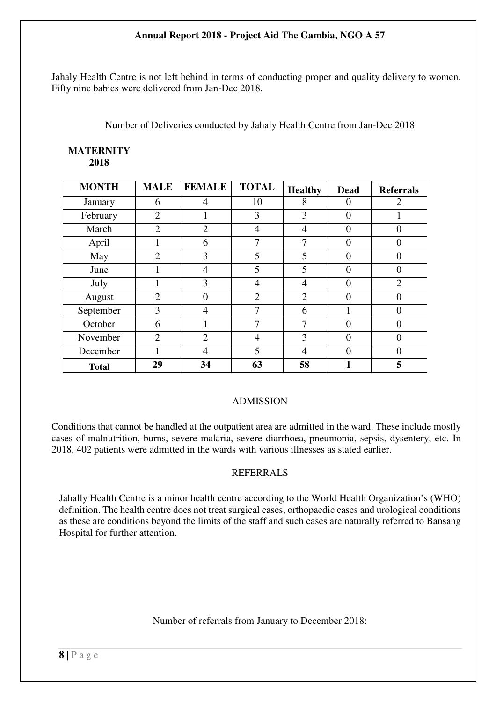Jahaly Health Centre is not left behind in terms of conducting proper and quality delivery to women. Fifty nine babies were delivered from Jan-Dec 2018.

Number of Deliveries conducted by Jahaly Health Centre from Jan-Dec 2018

| <b>MONTH</b> | <b>MALE</b>    | <b>FEMALE</b>  | <b>TOTAL</b>   | <b>Healthy</b> | <b>Dead</b> | <b>Referrals</b> |
|--------------|----------------|----------------|----------------|----------------|-------------|------------------|
| January      | 6              | 4              | 10             | 8              | $\Omega$    | 2                |
| February     | $\overline{2}$ |                | 3              | 3              | 0           |                  |
| March        | $\overline{2}$ | $\overline{2}$ | $\overline{4}$ | 4              | $\Omega$    | $\Omega$         |
| April        |                | 6              | 7              | 7              | 0           | $\Omega$         |
| May          | $\overline{2}$ | 3              | 5              | 5              | 0           | 0                |
| June         |                | 4              | 5              | 5              | 0           | $\Omega$         |
| July         |                | 3              | 4              | 4              | 0           | $\overline{2}$   |
| August       | $\overline{2}$ | $\Omega$       | $\overline{2}$ | $\overline{2}$ | $\Omega$    | $\theta$         |
| September    | 3              |                | 7              | 6              |             | 0                |
| October      | 6              |                | 7              | 7              | $\Omega$    | $\Omega$         |
| November     | $\overline{2}$ | $\overline{2}$ | 4              | 3              | 0           | $\Omega$         |
| December     |                | 4              | 5              | $\overline{4}$ | 0           | 0                |
| <b>Total</b> | 29             | 34             | 63             | 58             |             | 5                |

#### **MATERNITY 2018**

# ADMISSION

Conditions that cannot be handled at the outpatient area are admitted in the ward. These include mostly cases of malnutrition, burns, severe malaria, severe diarrhoea, pneumonia, sepsis, dysentery, etc. In 2018, 402 patients were admitted in the wards with various illnesses as stated earlier.

# REFERRALS

Jahally Health Centre is a minor health centre according to the World Health Organization's (WHO) definition. The health centre does not treat surgical cases, orthopaedic cases and urological conditions as these are conditions beyond the limits of the staff and such cases are naturally referred to Bansang Hospital for further attention.

# Number of referrals from January to December 2018: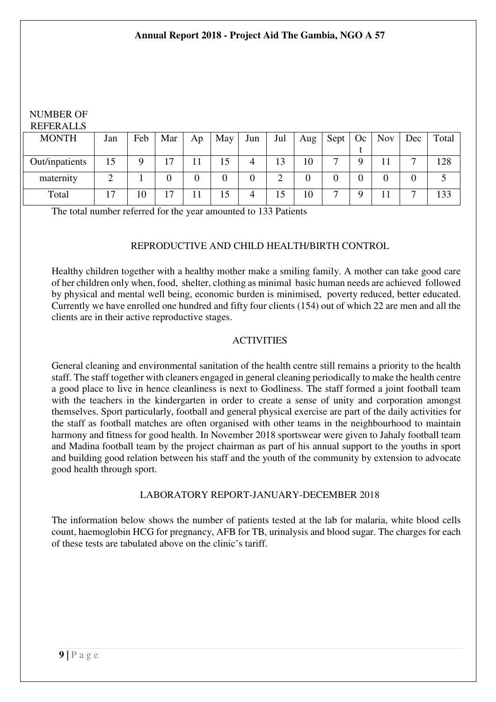#### NUMBER OF REFERALLS

| <b>MONTH</b>   | Jan            | Feb | Mar            | Ap | May | Jun | Jul | Aug | Sept | Oc | <b>Nov</b> | Dec                      | Total |
|----------------|----------------|-----|----------------|----|-----|-----|-----|-----|------|----|------------|--------------------------|-------|
|                |                |     |                |    |     |     |     |     |      |    |            |                          |       |
| Out/inpatients | 15             | Q   | 17             | 11 | 15  |     | 13  | 10  | −    | Q  |            | $\overline{\phantom{0}}$ | 128   |
| maternity      |                |     |                |    |     |     | ⌒   |     |      |    |            |                          |       |
| Total          | $\overline{ }$ | 10  | 1 <sub>7</sub> |    | 15  |     | 15  | 10  | ┍┓   |    | 11         | −                        | 133   |

The total number referred for the year amounted to 133 Patients

### REPRODUCTIVE AND CHILD HEALTH/BIRTH CONTROL

Healthy children together with a healthy mother make a smiling family. A mother can take good care of her children only when, food, shelter, clothing as minimal basic human needs are achieved followed by physical and mental well being, economic burden is minimised, poverty reduced, better educated. Currently we have enrolled one hundred and fifty four clients (154) out of which 22 are men and all the clients are in their active reproductive stages.

### ACTIVITIES

General cleaning and environmental sanitation of the health centre still remains a priority to the health staff. The staff together with cleaners engaged in general cleaning periodically to make the health centre a good place to live in hence cleanliness is next to Godliness. The staff formed a joint football team with the teachers in the kindergarten in order to create a sense of unity and corporation amongst themselves. Sport particularly, football and general physical exercise are part of the daily activities for the staff as football matches are often organised with other teams in the neighbourhood to maintain harmony and fitness for good health. In November 2018 sportswear were given to Jahaly football team and Madina football team by the project chairman as part of his annual support to the youths in sport and building good relation between his staff and the youth of the community by extension to advocate good health through sport.

### LABORATORY REPORT-JANUARY-DECEMBER 2018

The information below shows the number of patients tested at the lab for malaria, white blood cells count, haemoglobin HCG for pregnancy, AFB for TB, urinalysis and blood sugar. The charges for each of these tests are tabulated above on the clinic's tariff.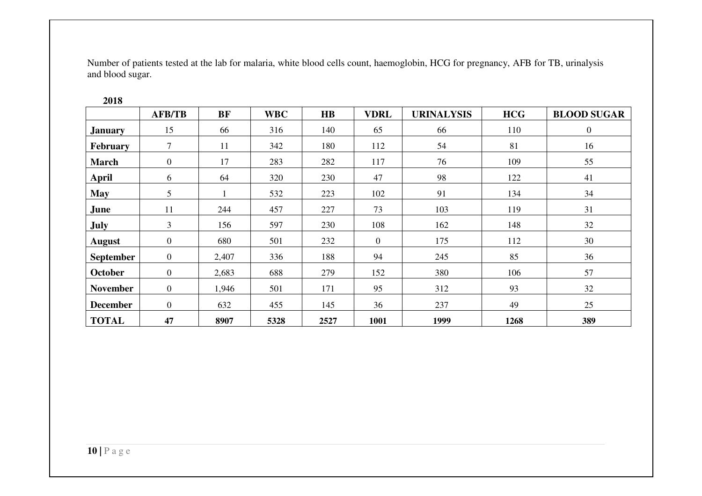Number of patients tested at the lab for malaria, white blood cells count, haemoglobin, HCG for pregnancy, AFB for TB, urinalysis and blood sugar.

|                  | <b>AFB/TB</b>   | <b>BF</b> | <b>WBC</b> | $\mathbf{H}\mathbf{B}$ | <b>VDRL</b>    | <b>URINALYSIS</b> | <b>HCG</b> | <b>BLOOD SUGAR</b> |
|------------------|-----------------|-----------|------------|------------------------|----------------|-------------------|------------|--------------------|
| <b>January</b>   | 15              | 66        | 316        | 140                    | 65             | 66                | 110        | $\overline{0}$     |
| <b>February</b>  | 7               | 11        | 342        | 180                    | 112            | 54                | 81         | 16                 |
| <b>March</b>     | $\mathbf{0}$    | 17        | 283        | 282                    | 117            | 76                | 109        | 55                 |
| April            | 6               | 64        | 320        | 230                    | 47             | 98                | 122        | 41                 |
| <b>May</b>       | $5\overline{)}$ |           | 532        | 223                    | 102            | 91                | 134        | 34                 |
| June             | 11              | 244       | 457        | 227                    | 73             | 103               | 119        | 31                 |
| <b>July</b>      | 3               | 156       | 597        | 230                    | 108            | 162               | 148        | 32                 |
| August           | $\overline{0}$  | 680       | 501        | 232                    | $\overline{0}$ | 175               | 112        | 30                 |
| <b>September</b> | $\overline{0}$  | 2,407     | 336        | 188                    | 94             | 245               | 85         | 36                 |
| October          | $\overline{0}$  | 2,683     | 688        | 279                    | 152            | 380               | 106        | 57                 |
| <b>November</b>  | $\overline{0}$  | 1,946     | 501        | 171                    | 95             | 312               | 93         | 32                 |
| <b>December</b>  | $\overline{0}$  | 632       | 455        | 145                    | 36             | 237               | 49         | 25                 |
| <b>TOTAL</b>     | 47              | 8907      | 5328       | 2527                   | 1001           | 1999              | 1268       | 389                |

**2018**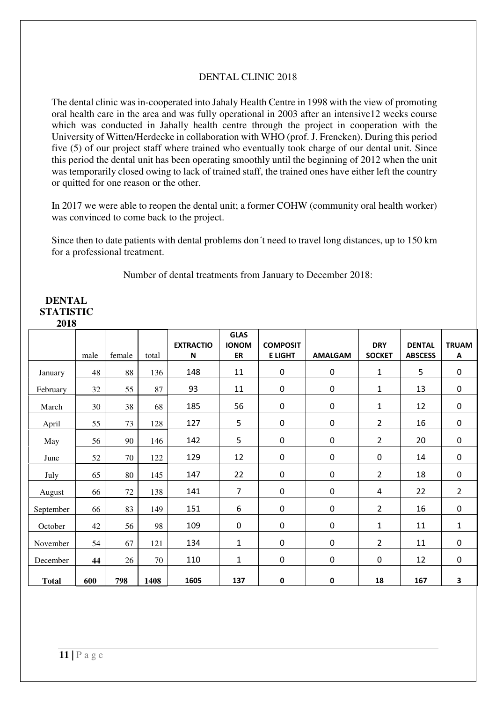#### DENTAL CLINIC 2018

The dental clinic was in-cooperated into Jahaly Health Centre in 1998 with the view of promoting oral health care in the area and was fully operational in 2003 after an intensive12 weeks course which was conducted in Jahally health centre through the project in cooperation with the University of Witten/Herdecke in collaboration with WHO (prof. J. Frencken). During this period five (5) of our project staff where trained who eventually took charge of our dental unit. Since this period the dental unit has been operating smoothly until the beginning of 2012 when the unit was temporarily closed owing to lack of trained staff, the trained ones have either left the country or quitted for one reason or the other.

In 2017 we were able to reopen the dental unit; a former COHW (community oral health worker) was convinced to come back to the project.

Since then to date patients with dental problems don´t need to travel long distances, up to 150 km for a professional treatment.

Number of dental treatments from January to December 2018:

#### **DENTAL STATISTIC 2018**

|              |      |        |       | <b>EXTRACTIO</b> | <b>GLAS</b><br><b>IONOM</b> | <b>COMPOSIT</b> |                  | <b>DRY</b>     | <b>DENTAL</b>  | <b>TRUAM</b>   |
|--------------|------|--------|-------|------------------|-----------------------------|-----------------|------------------|----------------|----------------|----------------|
|              | male | female | total | $\mathsf{N}$     | ER                          | <b>E LIGHT</b>  | <b>AMALGAM</b>   | <b>SOCKET</b>  | <b>ABSCESS</b> | Α              |
| January      | 48   | 88     | 136   | 148              | 11                          | $\pmb{0}$       | $\pmb{0}$        | $\mathbf{1}$   | 5              | $\pmb{0}$      |
| February     | 32   | 55     | 87    | 93               | 11                          | $\pmb{0}$       | $\pmb{0}$        | 1              | 13             | $\pmb{0}$      |
| March        | 30   | 38     | 68    | 185              | 56                          | $\pmb{0}$       | 0                | $\mathbf{1}$   | 12             | $\pmb{0}$      |
| April        | 55   | 73     | 128   | 127              | 5                           | $\pmb{0}$       | $\boldsymbol{0}$ | $\overline{2}$ | 16             | $\pmb{0}$      |
| May          | 56   | 90     | 146   | 142              | 5                           | $\mathbf 0$     | $\mathbf 0$      | $\overline{2}$ | 20             | $\mathbf 0$    |
| June         | 52   | 70     | 122   | 129              | 12                          | $\pmb{0}$       | $\boldsymbol{0}$ | $\mathbf 0$    | 14             | $\pmb{0}$      |
| July         | 65   | 80     | 145   | 147              | 22                          | $\mathbf 0$     | 0                | $\overline{2}$ | 18             | $\pmb{0}$      |
| August       | 66   | 72     | 138   | 141              | 7                           | $\pmb{0}$       | $\pmb{0}$        | 4              | 22             | $\overline{2}$ |
| September    | 66   | 83     | 149   | 151              | 6                           | $\mathbf 0$     | $\mathbf 0$      | $\overline{2}$ | 16             | $\mathbf 0$    |
| October      | 42   | 56     | 98    | 109              | $\mathbf 0$                 | $\mathbf 0$     | $\pmb{0}$        | 1              | 11             | $\mathbf{1}$   |
| November     | 54   | 67     | 121   | 134              | 1                           | $\mathbf 0$     | $\mathbf 0$      | $\overline{2}$ | 11             | $\pmb{0}$      |
| December     | 44   | 26     | 70    | 110              | 1                           | $\pmb{0}$       | $\pmb{0}$        | $\pmb{0}$      | 12             | $\mathbf 0$    |
| <b>Total</b> | 600  | 798    | 1408  | 1605             | 137                         | $\pmb{0}$       | $\pmb{0}$        | 18             | 167            | 3              |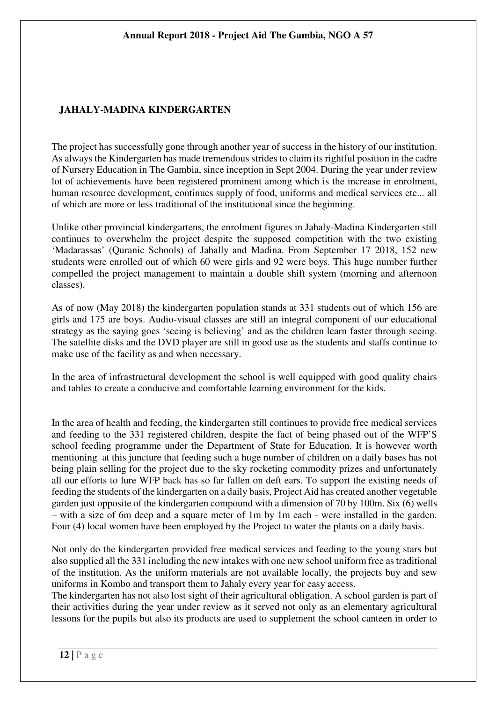# **JAHALY-MADINA KINDERGARTEN**

The project has successfully gone through another year of success in the history of our institution. As always the Kindergarten has made tremendous strides to claim its rightful position in the cadre of Nursery Education in The Gambia, since inception in Sept 2004. During the year under review lot of achievements have been registered prominent among which is the increase in enrolment, human resource development, continues supply of food, uniforms and medical services etc... all of which are more or less traditional of the institutional since the beginning.

Unlike other provincial kindergartens, the enrolment figures in Jahaly-Madina Kindergarten still continues to overwhelm the project despite the supposed competition with the two existing 'Madarassas' (Quranic Schools) of Jahally and Madina. From September 17 2018, 152 new students were enrolled out of which 60 were girls and 92 were boys. This huge number further compelled the project management to maintain a double shift system (morning and afternoon classes).

As of now (May 2018) the kindergarten population stands at 331 students out of which 156 are girls and 175 are boys. Audio-visual classes are still an integral component of our educational strategy as the saying goes 'seeing is believing' and as the children learn faster through seeing. The satellite disks and the DVD player are still in good use as the students and staffs continue to make use of the facility as and when necessary.

In the area of infrastructural development the school is well equipped with good quality chairs and tables to create a conducive and comfortable learning environment for the kids.

In the area of health and feeding, the kindergarten still continues to provide free medical services and feeding to the 331 registered children, despite the fact of being phased out of the WFP'S school feeding programme under the Department of State for Education. It is however worth mentioning at this juncture that feeding such a huge number of children on a daily bases has not being plain selling for the project due to the sky rocketing commodity prizes and unfortunately all our efforts to lure WFP back has so far fallen on deft ears. To support the existing needs of feeding the students of the kindergarten on a daily basis, Project Aid has created another vegetable garden just opposite of the kindergarten compound with a dimension of 70 by 100m. Six (6) wells – with a size of 6m deep and a square meter of 1m by 1m each - were installed in the garden. Four (4) local women have been employed by the Project to water the plants on a daily basis.

Not only do the kindergarten provided free medical services and feeding to the young stars but also supplied all the 331 including the new intakes with one new school uniform free as traditional of the institution. As the uniform materials are not available locally, the projects buy and sew uniforms in Kombo and transport them to Jahaly every year for easy access.

The kindergarten has not also lost sight of their agricultural obligation. A school garden is part of their activities during the year under review as it served not only as an elementary agricultural lessons for the pupils but also its products are used to supplement the school canteen in order to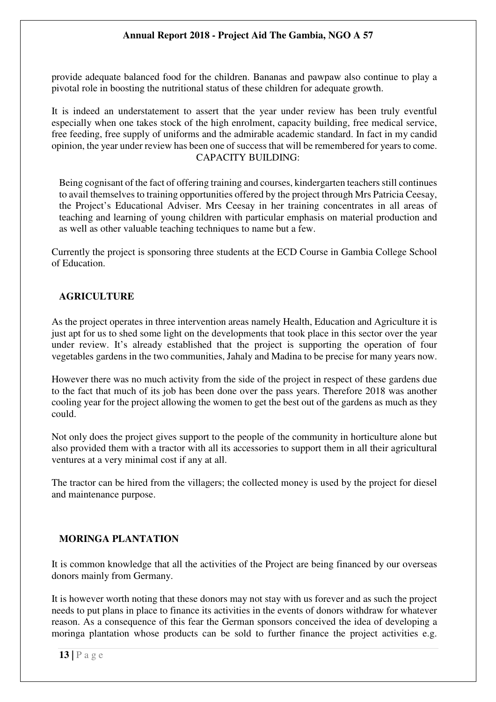provide adequate balanced food for the children. Bananas and pawpaw also continue to play a pivotal role in boosting the nutritional status of these children for adequate growth.

It is indeed an understatement to assert that the year under review has been truly eventful especially when one takes stock of the high enrolment, capacity building, free medical service, free feeding, free supply of uniforms and the admirable academic standard. In fact in my candid opinion, the year under review has been one of success that will be remembered for years to come. CAPACITY BUILDING:

Being cognisant of the fact of offering training and courses, kindergarten teachers still continues to avail themselves to training opportunities offered by the project through Mrs Patricia Ceesay, the Project's Educational Adviser. Mrs Ceesay in her training concentrates in all areas of teaching and learning of young children with particular emphasis on material production and as well as other valuable teaching techniques to name but a few.

Currently the project is sponsoring three students at the ECD Course in Gambia College School of Education.

## **AGRICULTURE**

As the project operates in three intervention areas namely Health, Education and Agriculture it is just apt for us to shed some light on the developments that took place in this sector over the year under review. It's already established that the project is supporting the operation of four vegetables gardens in the two communities, Jahaly and Madina to be precise for many years now.

However there was no much activity from the side of the project in respect of these gardens due to the fact that much of its job has been done over the pass years. Therefore 2018 was another cooling year for the project allowing the women to get the best out of the gardens as much as they could.

Not only does the project gives support to the people of the community in horticulture alone but also provided them with a tractor with all its accessories to support them in all their agricultural ventures at a very minimal cost if any at all.

The tractor can be hired from the villagers; the collected money is used by the project for diesel and maintenance purpose.

# **MORINGA PLANTATION**

It is common knowledge that all the activities of the Project are being financed by our overseas donors mainly from Germany.

It is however worth noting that these donors may not stay with us forever and as such the project needs to put plans in place to finance its activities in the events of donors withdraw for whatever reason. As a consequence of this fear the German sponsors conceived the idea of developing a moringa plantation whose products can be sold to further finance the project activities e.g.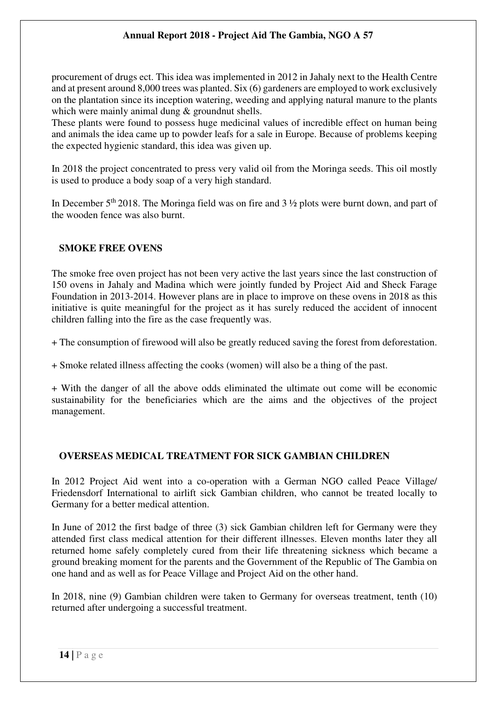procurement of drugs ect. This idea was implemented in 2012 in Jahaly next to the Health Centre and at present around 8,000 trees was planted. Six (6) gardeners are employed to work exclusively on the plantation since its inception watering, weeding and applying natural manure to the plants which were mainly animal dung & groundnut shells.

These plants were found to possess huge medicinal values of incredible effect on human being and animals the idea came up to powder leafs for a sale in Europe. Because of problems keeping the expected hygienic standard, this idea was given up.

In 2018 the project concentrated to press very valid oil from the Moringa seeds. This oil mostly is used to produce a body soap of a very high standard.

In December  $5<sup>th</sup>$  2018. The Moringa field was on fire and 3  $\frac{1}{2}$  plots were burnt down, and part of the wooden fence was also burnt.

### **SMOKE FREE OVENS**

The smoke free oven project has not been very active the last years since the last construction of 150 ovens in Jahaly and Madina which were jointly funded by Project Aid and Sheck Farage Foundation in 2013-2014. However plans are in place to improve on these ovens in 2018 as this initiative is quite meaningful for the project as it has surely reduced the accident of innocent children falling into the fire as the case frequently was.

+ The consumption of firewood will also be greatly reduced saving the forest from deforestation.

+ Smoke related illness affecting the cooks (women) will also be a thing of the past.

+ With the danger of all the above odds eliminated the ultimate out come will be economic sustainability for the beneficiaries which are the aims and the objectives of the project management.

# **OVERSEAS MEDICAL TREATMENT FOR SICK GAMBIAN CHILDREN**

In 2012 Project Aid went into a co-operation with a German NGO called Peace Village/ Friedensdorf International to airlift sick Gambian children, who cannot be treated locally to Germany for a better medical attention.

In June of 2012 the first badge of three (3) sick Gambian children left for Germany were they attended first class medical attention for their different illnesses. Eleven months later they all returned home safely completely cured from their life threatening sickness which became a ground breaking moment for the parents and the Government of the Republic of The Gambia on one hand and as well as for Peace Village and Project Aid on the other hand.

In 2018, nine (9) Gambian children were taken to Germany for overseas treatment, tenth (10) returned after undergoing a successful treatment.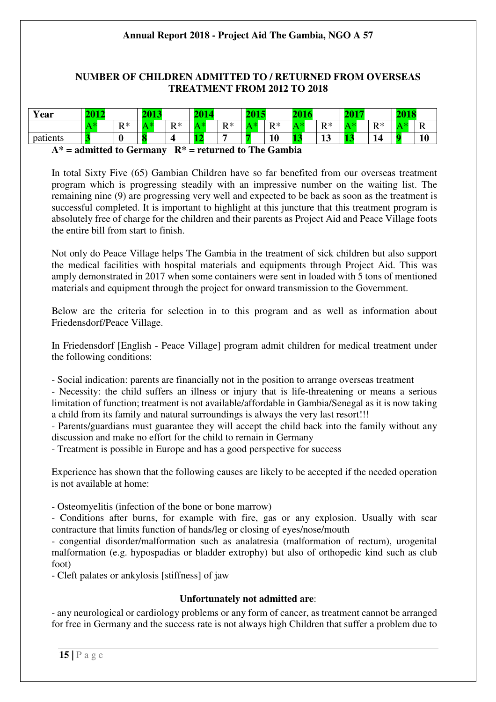## **NUMBER OF CHILDREN ADMITTED TO / RETURNED FROM OVERSEAS TREATMENT FROM 2012 TO 2018**

| Year                                                       | 2012 |       | 2013 |       |  |       |  |           |         | 2015 |       | 2018 |  |
|------------------------------------------------------------|------|-------|------|-------|--|-------|--|-----------|---------|------|-------|------|--|
|                                                            |      | $R^*$ | ∖ *  | $R^*$ |  | $R^*$ |  | $R*$      | $R^*$   |      | $R^*$ |      |  |
| patients                                                   |      |       |      |       |  |       |  | <b>10</b> | 12<br>∸ |      |       |      |  |
| $A^*$ = admitted to Germany $R^*$ = returned to The Gambia |      |       |      |       |  |       |  |           |         |      |       |      |  |

In total Sixty Five (65) Gambian Children have so far benefited from our overseas treatment program which is progressing steadily with an impressive number on the waiting list. The remaining nine (9) are progressing very well and expected to be back as soon as the treatment is successful completed. It is important to highlight at this juncture that this treatment program is absolutely free of charge for the children and their parents as Project Aid and Peace Village foots the entire bill from start to finish.

Not only do Peace Village helps The Gambia in the treatment of sick children but also support the medical facilities with hospital materials and equipments through Project Aid. This was amply demonstrated in 2017 when some containers were sent in loaded with 5 tons of mentioned materials and equipment through the project for onward transmission to the Government.

Below are the criteria for selection in to this program and as well as information about Friedensdorf/Peace Village.

In Friedensdorf [English - Peace Village] program admit children for medical treatment under the following conditions:

- Social indication: parents are financially not in the position to arrange overseas treatment

- Necessity: the child suffers an illness or injury that is life-threatening or means a serious limitation of function; treatment is not available/affordable in Gambia/Senegal as it is now taking a child from its family and natural surroundings is always the very last resort!!!

- Parents/guardians must guarantee they will accept the child back into the family without any discussion and make no effort for the child to remain in Germany

- Treatment is possible in Europe and has a good perspective for success

Experience has shown that the following causes are likely to be accepted if the needed operation is not available at home:

- Osteomyelitis (infection of the bone or bone marrow)

- Conditions after burns, for example with fire, gas or any explosion. Usually with scar contracture that limits function of hands/leg or closing of eyes/nose/mouth

- congential disorder/malformation such as analatresia (malformation of rectum), urogenital malformation (e.g. hypospadias or bladder extrophy) but also of orthopedic kind such as club foot)

- Cleft palates or ankylosis [stiffness] of jaw

### **Unfortunately not admitted are**:

- any neurological or cardiology problems or any form of cancer, as treatment cannot be arranged for free in Germany and the success rate is not always high Children that suffer a problem due to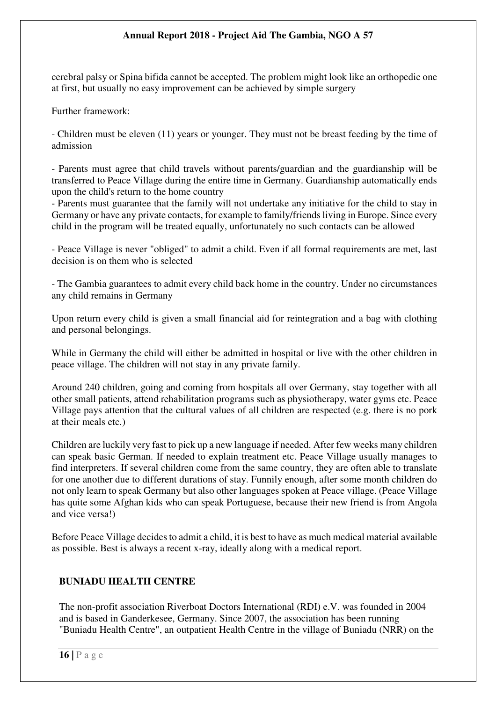cerebral palsy or Spina bifida cannot be accepted. The problem might look like an orthopedic one at first, but usually no easy improvement can be achieved by simple surgery

Further framework:

- Children must be eleven (11) years or younger. They must not be breast feeding by the time of admission

- Parents must agree that child travels without parents/guardian and the guardianship will be transferred to Peace Village during the entire time in Germany. Guardianship automatically ends upon the child's return to the home country

- Parents must guarantee that the family will not undertake any initiative for the child to stay in Germany or have any private contacts, for example to family/friends living in Europe. Since every child in the program will be treated equally, unfortunately no such contacts can be allowed

- Peace Village is never "obliged" to admit a child. Even if all formal requirements are met, last decision is on them who is selected

- The Gambia guarantees to admit every child back home in the country. Under no circumstances any child remains in Germany

Upon return every child is given a small financial aid for reintegration and a bag with clothing and personal belongings.

While in Germany the child will either be admitted in hospital or live with the other children in peace village. The children will not stay in any private family.

Around 240 children, going and coming from hospitals all over Germany, stay together with all other small patients, attend rehabilitation programs such as physiotherapy, water gyms etc. Peace Village pays attention that the cultural values of all children are respected (e.g. there is no pork at their meals etc.)

Children are luckily very fast to pick up a new language if needed. After few weeks many children can speak basic German. If needed to explain treatment etc. Peace Village usually manages to find interpreters. If several children come from the same country, they are often able to translate for one another due to different durations of stay. Funnily enough, after some month children do not only learn to speak Germany but also other languages spoken at Peace village. (Peace Village has quite some Afghan kids who can speak Portuguese, because their new friend is from Angola and vice versa!)

Before Peace Village decides to admit a child, it is best to have as much medical material available as possible. Best is always a recent x-ray, ideally along with a medical report.

### **BUNIADU HEALTH CENTRE**

The non-profit association Riverboat Doctors International (RDI) e.V. was founded in 2004 and is based in Ganderkesee, Germany. Since 2007, the association has been running "Buniadu Health Centre", an outpatient Health Centre in the village of Buniadu (NRR) on the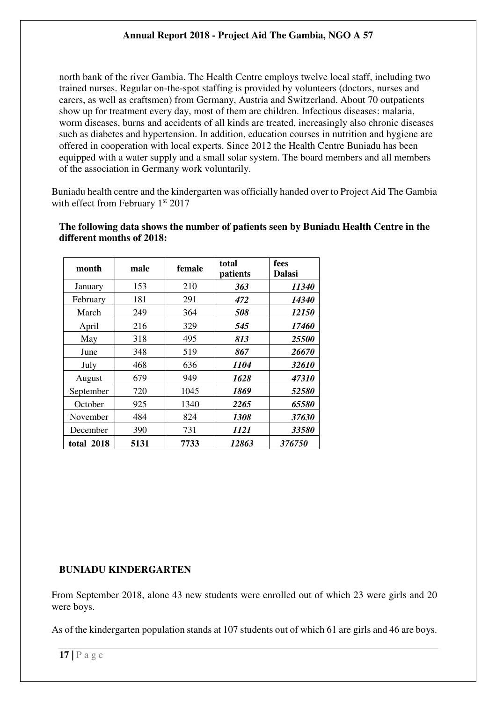north bank of the river Gambia. The Health Centre employs twelve local staff, including two trained nurses. Regular on-the-spot staffing is provided by volunteers (doctors, nurses and carers, as well as craftsmen) from Germany, Austria and Switzerland. About 70 outpatients show up for treatment every day, most of them are children. Infectious diseases: malaria, worm diseases, burns and accidents of all kinds are treated, increasingly also chronic diseases such as diabetes and hypertension. In addition, education courses in nutrition and hygiene are offered in cooperation with local experts. Since 2012 the Health Centre Buniadu has been equipped with a water supply and a small solar system. The board members and all members of the association in Germany work voluntarily.

Buniadu health centre and the kindergarten was officially handed over to Project Aid The Gambia with effect from February 1st 2017

| month      | male | female | total<br>patients | fees<br><b>Dalasi</b> |
|------------|------|--------|-------------------|-----------------------|
| January    | 153  | 210    | 363               | <i>11340</i>          |
| February   | 181  | 291    | 472               | <i>14340</i>          |
| March      | 249  | 364    | 508               | <i>12150</i>          |
| April      | 216  | 329    | 545               | 17460                 |
| May        | 318  | 495    | 813               | <i><b>25500</b></i>   |
| June       | 348  | 519    | 867               | 26670                 |
| July       | 468  | 636    | 1104              | 32610                 |
| August     | 679  | 949    | 1628              | 47310                 |
| September  | 720  | 1045   | 1869              | 52580                 |
| October    | 925  | 1340   | 2265              | 65580                 |
| November   | 484  | 824    | 1308              | 37630                 |
| December   | 390  | 731    | 1121              | 33580                 |
| total 2018 | 5131 | 7733   | 12863             | 376750                |

**The following data shows the number of patients seen by Buniadu Health Centre in the different months of 2018:** 

# **BUNIADU KINDERGARTEN**

From September 2018, alone 43 new students were enrolled out of which 23 were girls and 20 were boys.

As of the kindergarten population stands at 107 students out of which 61 are girls and 46 are boys.